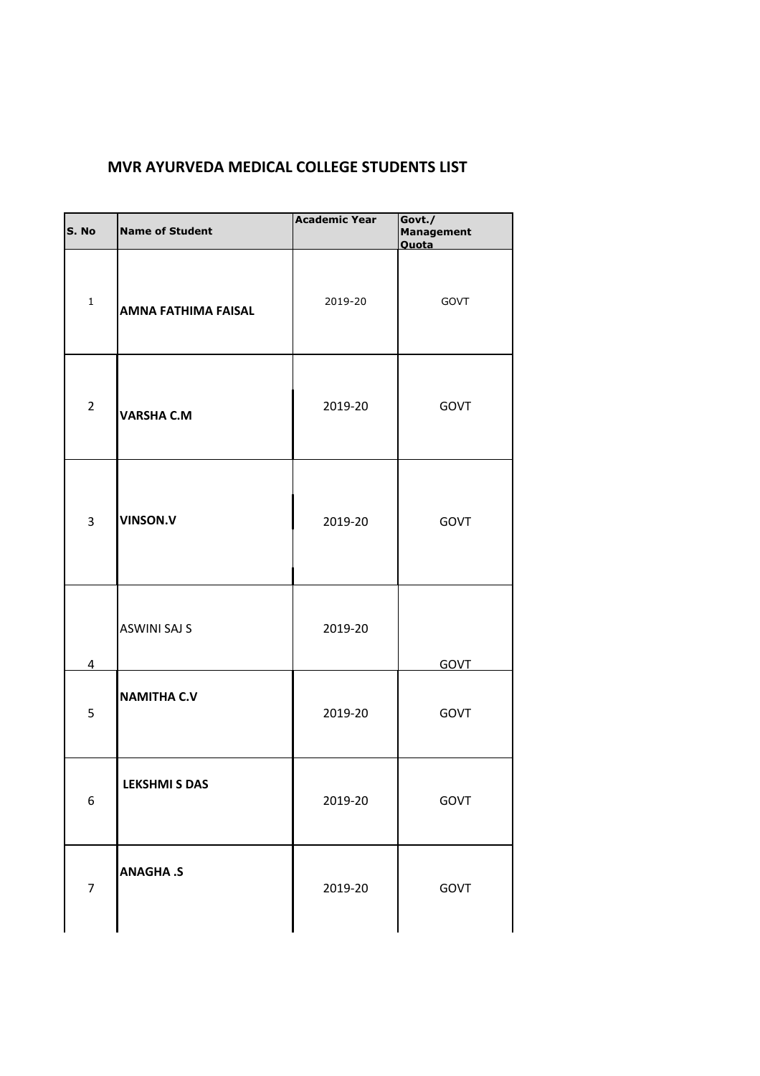## **MVR AYURVEDA MEDICAL COLLEGE STUDENTS LIST**

| S. No            | <b>Name of Student</b>     | <b>Academic Year</b> | Govt./<br><b>Management</b><br><b>Quota</b> |
|------------------|----------------------------|----------------------|---------------------------------------------|
| $\mathbf{1}$     | <b>AMNA FATHIMA FAISAL</b> | 2019-20              | GOVT                                        |
| $\overline{2}$   | <b>VARSHA C.M</b>          | 2019-20              | GOVT                                        |
| $\overline{3}$   | <b>VINSON.V</b>            | 2019-20              | GOVT                                        |
| $\overline{4}$   | <b>ASWINI SAJ S</b>        | 2019-20              | GOVT                                        |
| 5                | <b>NAMITHA C.V</b>         | 2019-20              | GOVT                                        |
| $\boldsymbol{6}$ | <b>LEKSHMI S DAS</b>       | 2019-20              | GOVT                                        |
| $\overline{7}$   | <b>ANAGHA.S</b>            | 2019-20              | GOVT                                        |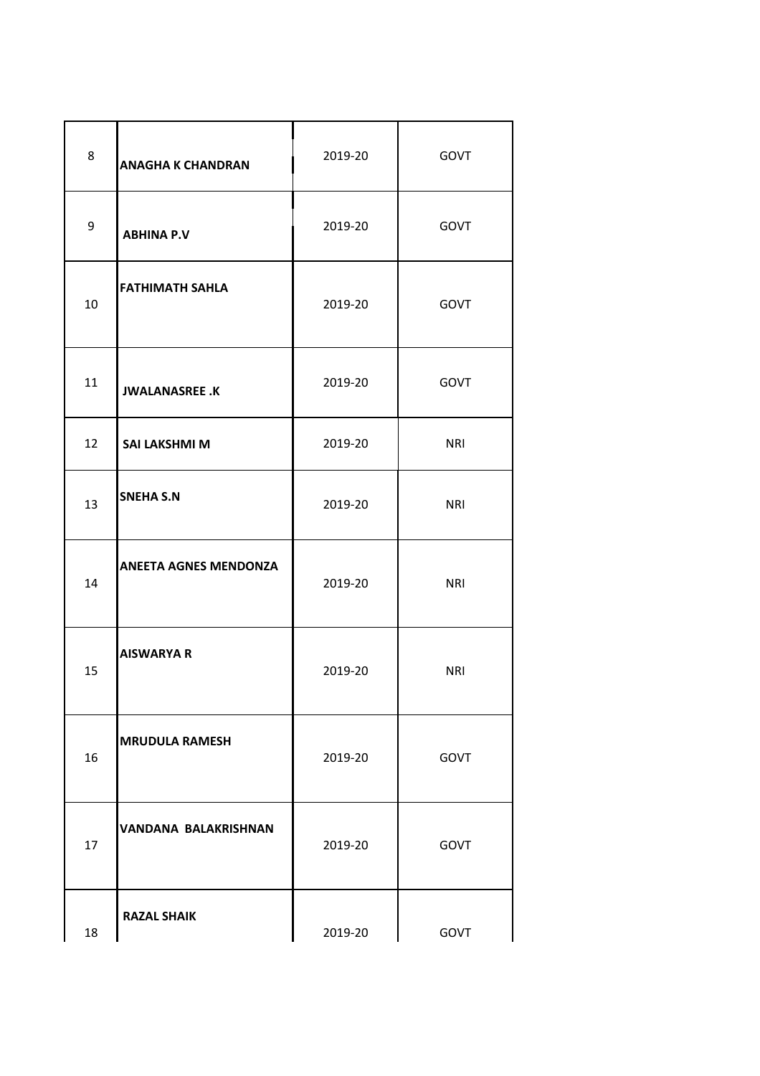| 8  | <b>ANAGHA K CHANDRAN</b>     | 2019-20 | <b>GOVT</b> |
|----|------------------------------|---------|-------------|
| 9  | <b>ABHINA P.V</b>            | 2019-20 | GOVT        |
| 10 | <b>FATHIMATH SAHLA</b>       | 2019-20 | GOVT        |
| 11 | <b>JWALANASREE .K</b>        | 2019-20 | <b>GOVT</b> |
| 12 | <b>SAI LAKSHMI M</b>         | 2019-20 | <b>NRI</b>  |
| 13 | <b>SNEHA S.N</b>             | 2019-20 | <b>NRI</b>  |
| 14 | <b>ANEETA AGNES MENDONZA</b> | 2019-20 | <b>NRI</b>  |
| 15 | <b>AISWARYA R</b>            | 2019-20 | <b>NRI</b>  |
| 16 | <b>MRUDULA RAMESH</b>        | 2019-20 | <b>GOVT</b> |
| 17 | <b>VANDANA BALAKRISHNAN</b>  | 2019-20 | GOVT        |
| 18 | <b>RAZAL SHAIK</b>           | 2019-20 | GOVT        |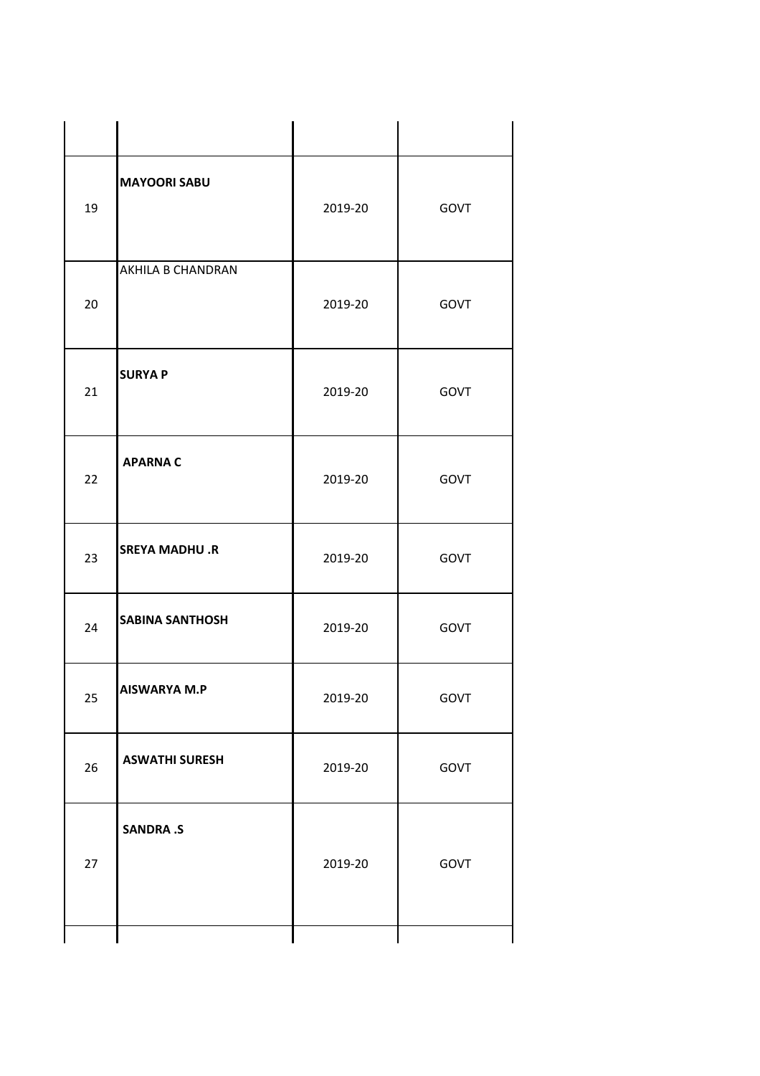| 19 | <b>MAYOORI SABU</b>    | 2019-20 | GOVT |
|----|------------------------|---------|------|
| 20 | AKHILA B CHANDRAN      | 2019-20 | GOVT |
| 21 | <b>SURYA P</b>         | 2019-20 | GOVT |
| 22 | <b>APARNA C</b>        | 2019-20 | GOVT |
| 23 | <b>SREYA MADHU .R</b>  | 2019-20 | GOVT |
| 24 | <b>SABINA SANTHOSH</b> | 2019-20 | GOVT |
| 25 | <b>AISWARYA M.P</b>    | 2019-20 | GOVT |
| 26 | <b>ASWATHI SURESH</b>  | 2019-20 | GOVT |
| 27 | <b>SANDRA .S</b>       | 2019-20 | GOVT |
|    |                        |         |      |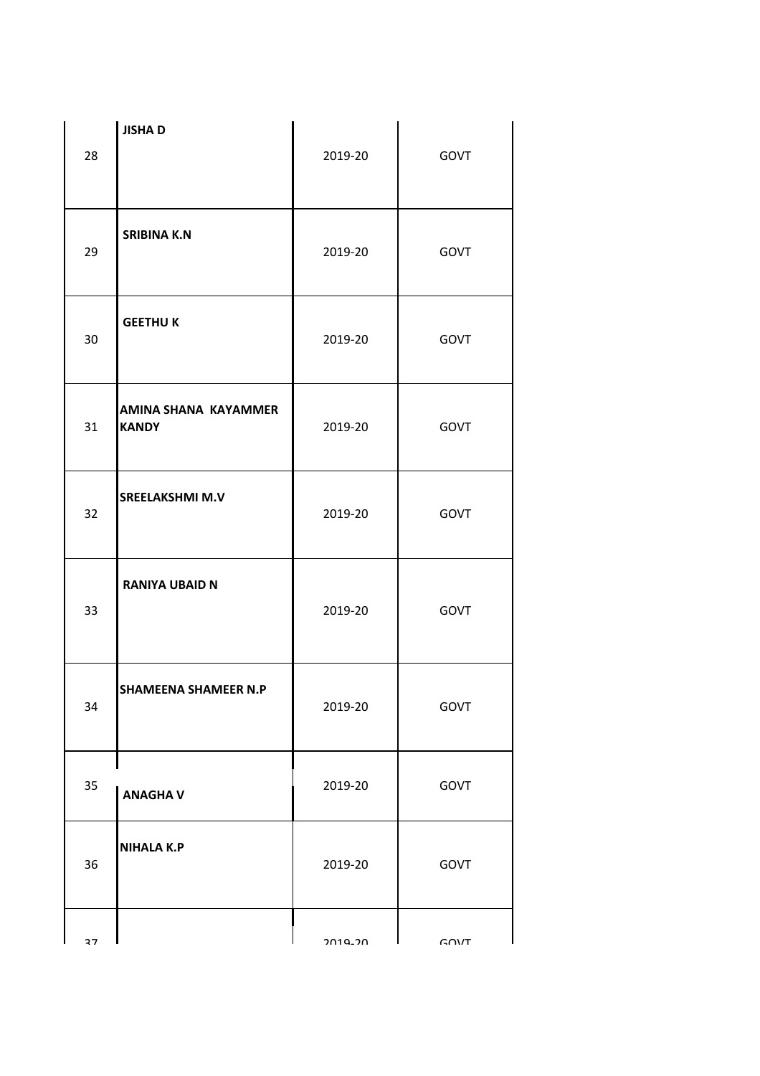| 28 | <b>JISHAD</b>                               | 2019-20  | GOVT      |
|----|---------------------------------------------|----------|-----------|
| 29 | <b>SRIBINA K.N</b>                          | 2019-20  | GOVT      |
| 30 | <b>GEETHUK</b>                              | 2019-20  | GOVT      |
| 31 | <b>AMINA SHANA KAYAMMER</b><br><b>KANDY</b> | 2019-20  | GOVT      |
| 32 | <b>SREELAKSHMI M.V</b>                      | 2019-20  | GOVT      |
| 33 | <b>RANIYA UBAID N</b>                       | 2019-20  | GOVT      |
| 34 | <b>SHAMEENA SHAMEER N.P</b>                 | 2019-20  | GOVT      |
| 35 | <b>ANAGHAV</b>                              | 2019-20  | GOVT      |
| 36 | <b>NIHALA K.P</b>                           | 2019-20  | GOVT      |
| 27 |                                             | ∩ר_ם 1∩ר | $G$ $N/T$ |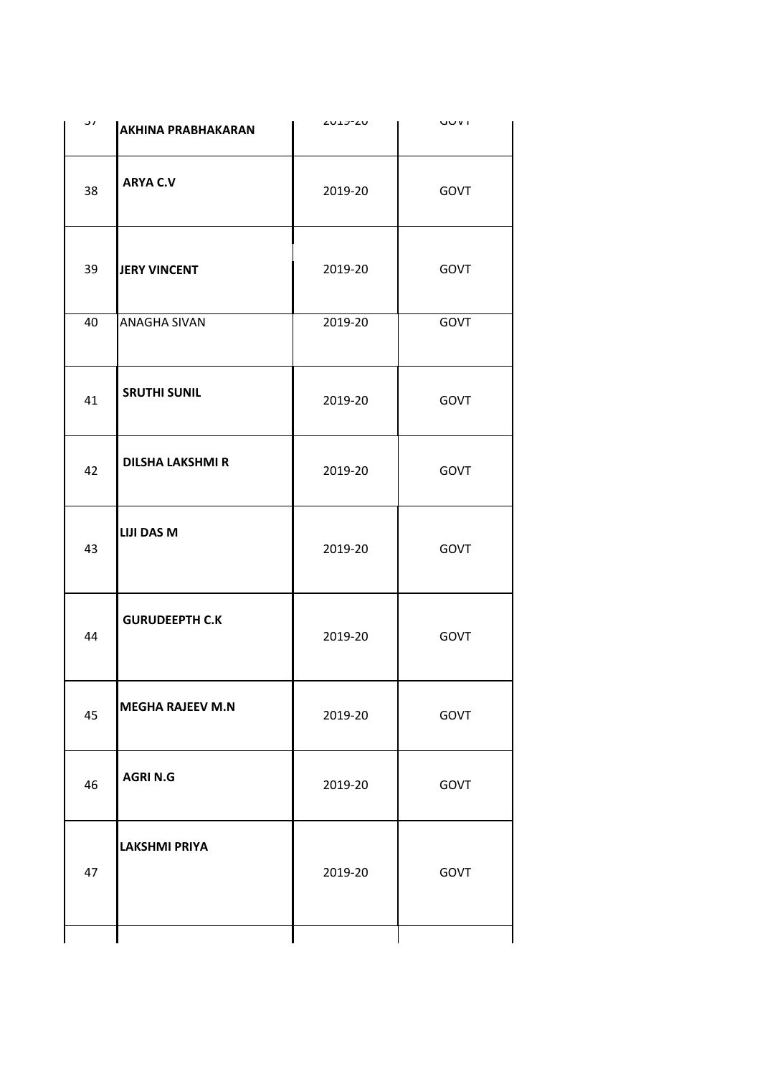| ر د | <b>AKHINA PRABHAKARAN</b> | $\angle \cup \exists \exists \forall \forall$ | ויטט |
|-----|---------------------------|-----------------------------------------------|------|
| 38  | <b>ARYA C.V</b>           | 2019-20                                       | GOVT |
| 39  | JERY VINCENT              | 2019-20                                       | GOVT |
| 40  | ANAGHA SIVAN              | 2019-20                                       | GOVT |
| 41  | <b>SRUTHI SUNIL</b>       | 2019-20                                       | GOVT |
| 42  | <b>DILSHA LAKSHMI R</b>   | 2019-20                                       | GOVT |
| 43  | LIJI DAS M                | 2019-20                                       | GOVT |
| 44  | <b>GURUDEEPTH C.K</b>     | 2019-20                                       | GOVT |
| 45  | <b>MEGHA RAJEEV M.N</b>   | 2019-20                                       | GOVT |
| 46  | <b>AGRI N.G</b>           | 2019-20                                       | GOVT |
| 47  | <b>LAKSHMI PRIYA</b>      | 2019-20                                       | GOVT |
|     |                           |                                               |      |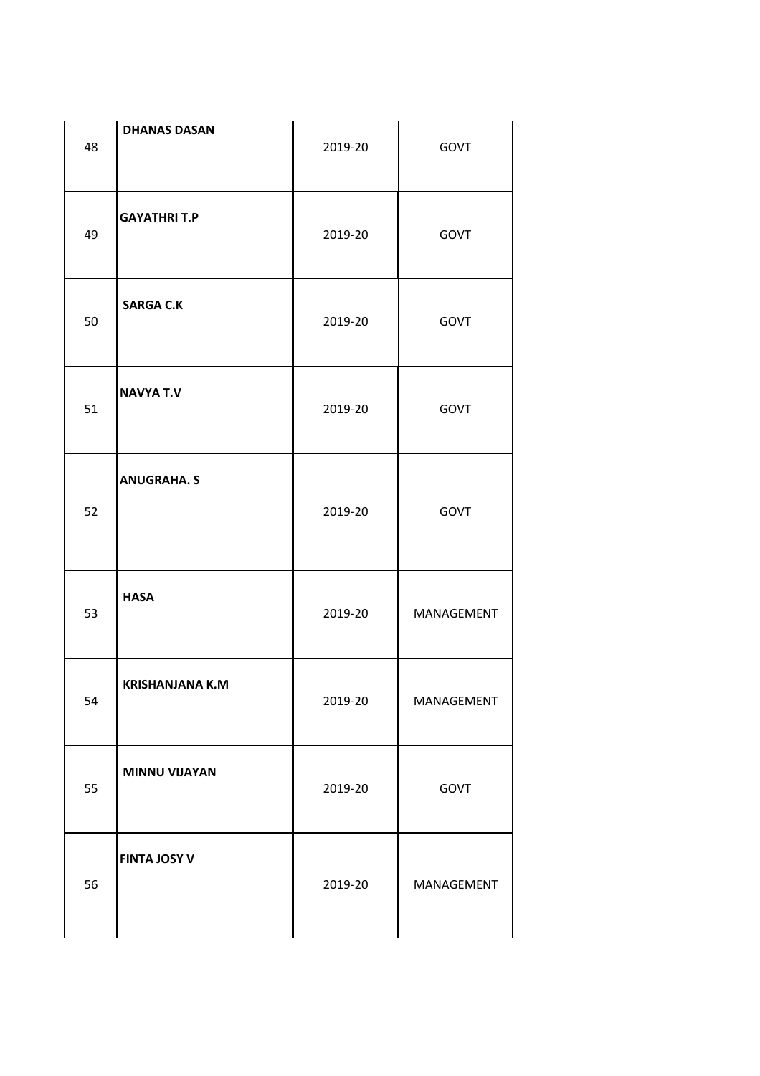| 48 | <b>DHANAS DASAN</b>    | 2019-20 | GOVT       |
|----|------------------------|---------|------------|
| 49 | <b>GAYATHRI T.P</b>    | 2019-20 | GOVT       |
| 50 | <b>SARGA C.K</b>       | 2019-20 | GOVT       |
| 51 | <b>NAVYA T.V</b>       | 2019-20 | GOVT       |
| 52 | <b>ANUGRAHA.S</b>      | 2019-20 | GOVT       |
| 53 | <b>HASA</b>            | 2019-20 | MANAGEMENT |
| 54 | <b>KRISHANJANA K.M</b> | 2019-20 | MANAGEMENT |
| 55 | <b>MINNU VIJAYAN</b>   | 2019-20 | GOVT       |
| 56 | <b>FINTA JOSY V</b>    | 2019-20 | MANAGEMENT |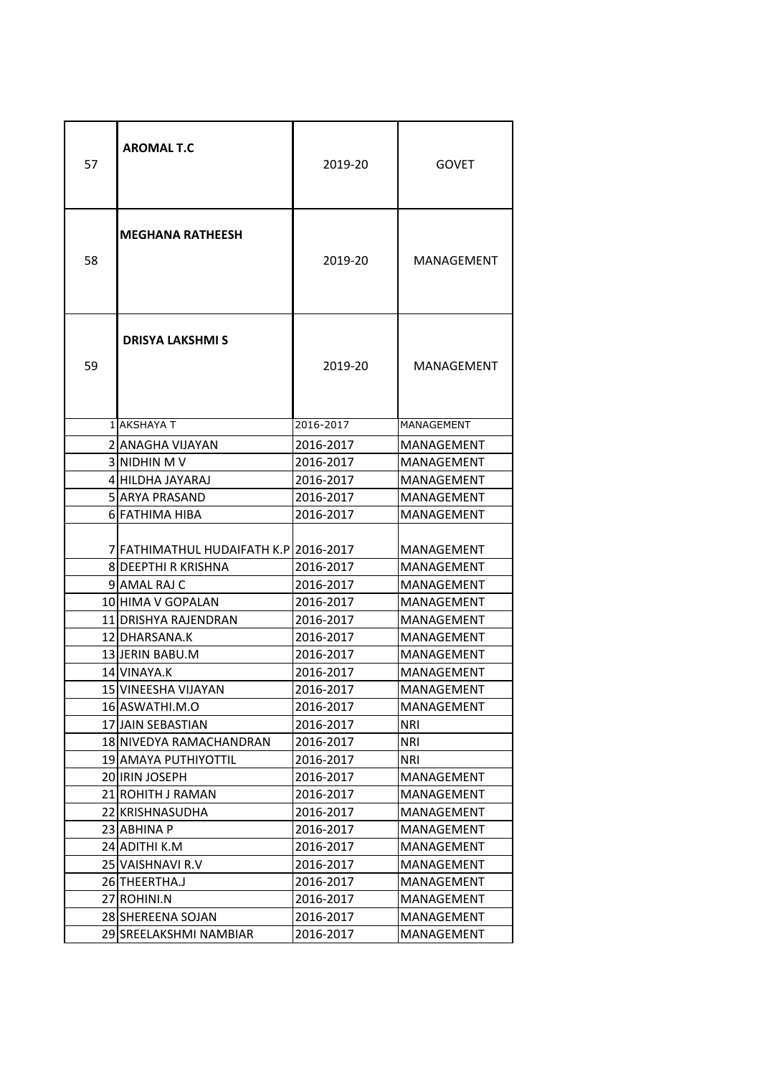| 57 | <b>AROMAL T.C</b>                                                   | 2019-20   | <b>GOVET</b>                    |
|----|---------------------------------------------------------------------|-----------|---------------------------------|
| 58 | <b>MEGHANA RATHEESH</b>                                             | 2019-20   | MANAGEMENT                      |
| 59 | <b>DRISYA LAKSHMI S</b>                                             | 2019-20   | MANAGEMENT                      |
|    | 1 AKSHAYA T                                                         | 2016-2017 | MANAGEMENT                      |
|    | 2IANAGHA VIJAYAN                                                    | 2016-2017 | MANAGEMENT                      |
|    | <b>3 NIDHIN M V</b>                                                 | 2016-2017 | <b>MANAGEMENT</b>               |
|    | 4 HILDHA JAYARAJ                                                    | 2016-2017 | MANAGEMENT                      |
|    | <b>5 ARYA PRASAND</b>                                               | 2016-2017 | MANAGEMENT                      |
|    | 6 FATHIMA HIBA                                                      | 2016-2017 | MANAGEMENT                      |
|    | 7 FATHIMATHUL HUDAIFATH K.P 2016-2017<br><b>8IDEEPTHI R KRISHNA</b> | 2016-2017 | MANAGEMENT<br><b>MANAGEMENT</b> |
|    | 9 AMAL RAJ C                                                        | 2016-2017 | <b>MANAGEMENT</b>               |
|    | 10 HIMA V GOPALAN                                                   | 2016-2017 | MANAGEMENT                      |
|    | 11 IDRISHYA RAJENDRAN                                               | 2016-2017 | MANAGEMENT                      |
|    | 12 DHARSANA.K                                                       | 2016-2017 | MANAGEMENT                      |
|    | 13 JERIN BABU.M                                                     | 2016-2017 | MANAGEMENT                      |
|    | 14 VINAYA.K                                                         | 2016-2017 | MANAGEMENT                      |
|    | 15 VINEESHA VIJAYAN                                                 | 2016-2017 | <b>MANAGEMENT</b>               |
|    | 16 ASWATHI.M.O                                                      | 2016-2017 | MANAGEMENT                      |
|    | <b>17 JAIN SEBASTIAN</b>                                            | 2016-2017 | <b>NRI</b>                      |
|    | 18 NIVEDYA RAMACHANDRAN                                             | 2016-2017 | NRI                             |
|    | 19 AMAYA PUTHIYOTTIL                                                | 2016-2017 | NRI                             |
|    | 20 IRIN JOSEPH                                                      | 2016-2017 | <b>MANAGEMENT</b>               |
|    | 21 ROHITH J RAMAN                                                   | 2016-2017 | MANAGEMENT                      |
|    | 22 KRISHNASUDHA                                                     | 2016-2017 | MANAGEMENT                      |
|    | 23 ABHINA P                                                         | 2016-2017 | MANAGEMENT                      |
|    | 24 ADITHI K.M                                                       | 2016-2017 | MANAGEMENT                      |
|    | 25 VAISHNAVI R.V                                                    | 2016-2017 | MANAGEMENT                      |
|    | 26 THEERTHA.J                                                       | 2016-2017 | MANAGEMENT                      |
|    | 27 ROHINI.N                                                         | 2016-2017 | MANAGEMENT                      |
|    | 28 SHEREENA SOJAN                                                   | 2016-2017 | MANAGEMENT                      |
|    | 29 SREELAKSHMI NAMBIAR                                              | 2016-2017 | MANAGEMENT                      |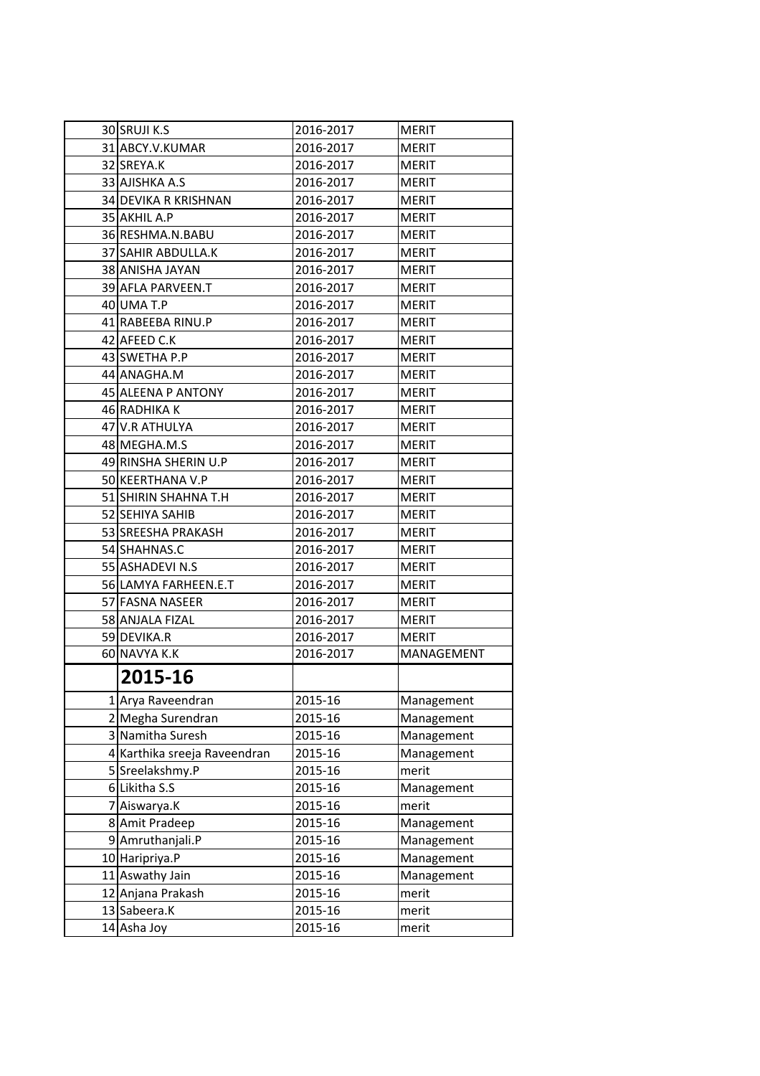| 30 SRUJI K.S                         | 2016-2017          | <b>MERIT</b>        |
|--------------------------------------|--------------------|---------------------|
| 31 ABCY.V.KUMAR                      | 2016-2017          | MERIT               |
| 32 SREYA.K                           | 2016-2017          | MERIT               |
| 33 AJISHKA A.S                       | 2016-2017          | <b>MERIT</b>        |
| 34 DEVIKA R KRISHNAN                 | 2016-2017          | <b>MERIT</b>        |
| 35 AKHIL A.P                         | 2016-2017          | <b>MERIT</b>        |
| 36 RESHMA.N.BABU                     | 2016-2017          | <b>MERIT</b>        |
| 37 SAHIR ABDULLA.K                   | 2016-2017          | <b>MERIT</b>        |
| 38 ANISHA JAYAN                      | 2016-2017          | <b>MERIT</b>        |
| 39 AFLA PARVEEN.T                    | 2016-2017          | <b>MERIT</b>        |
| 40 UMA T.P                           | 2016-2017          | <b>MERIT</b>        |
| 41 RABEEBA RINU.P                    | 2016-2017          | <b>MERIT</b>        |
| 42 AFEED C.K                         | 2016-2017          | MERIT               |
| 43 SWETHA P.P                        | 2016-2017          | <b>MERIT</b>        |
| 44 ANAGHA M                          | 2016-2017          | <b>MFRIT</b>        |
| 45 ALEENA P ANTONY                   | 2016-2017          | <b>MERIT</b>        |
| 46 RADHIKA K                         | 2016-2017          | <b>MERIT</b>        |
| 47 V.R ATHULYA                       | 2016-2017          | <b>MERIT</b>        |
| 48 MEGHA.M.S                         | 2016-2017          | <b>MERIT</b>        |
| 49 RINSHA SHERIN U.P                 | 2016-2017          | <b>MERIT</b>        |
| 50 KEERTHANA V.P                     | 2016-2017          | <b>MERIT</b>        |
| 51 SHIRIN SHAHNA T.H                 | 2016-2017          | <b>MERIT</b>        |
| 52 SEHIYA SAHIB                      | 2016-2017          | <b>MERIT</b>        |
| 53 SREESHA PRAKASH                   | 2016-2017          | <b>MERIT</b>        |
| 54 SHAHNAS.C                         | 2016-2017          | <b>MERIT</b>        |
| 55 ASHADEVI N.S                      | 2016-2017          | <b>MERIT</b>        |
| 56 LAMYA FARHEEN.E.T                 | 2016-2017          | <b>MERIT</b>        |
| 57 FASNA NASEER                      | 2016-2017          | <b>MERIT</b>        |
| 58 ANJALA FIZAL                      | 2016-2017          | <b>MERIT</b>        |
| 59 DEVIKA.R                          | 2016-2017          | <b>MERIT</b>        |
| 60 NAVYA K.K                         | 2016-2017          | <b>MANAGEMENT</b>   |
|                                      |                    |                     |
| 2015-16                              |                    |                     |
| 1 Arya Raveendran                    | 2015-16            | Management          |
| 2 Megha Surendran                    | 2015-16            | Management          |
| 3 Namitha Suresh                     | 2015-16            | Management          |
| 4 Karthika sreeja Raveendran         | 2015-16            | Management          |
| 5 Sreelakshmy.P                      | 2015-16            | merit               |
| 6 Likitha S.S                        | 2015-16            | Management          |
| 7 Aiswarya.K                         | 2015-16            | merit               |
| 8 Amit Pradeep                       | 2015-16            | Management          |
|                                      | 2015-16            |                     |
| 9 Amruthanjali.P                     | 2015-16            | Management          |
| 10 Haripriya.P                       |                    | Management          |
| 11 Aswathy Jain<br>12 Anjana Prakash | 2015-16<br>2015-16 | Management<br>merit |
| 13 Sabeera.K                         | 2015-16            | merit               |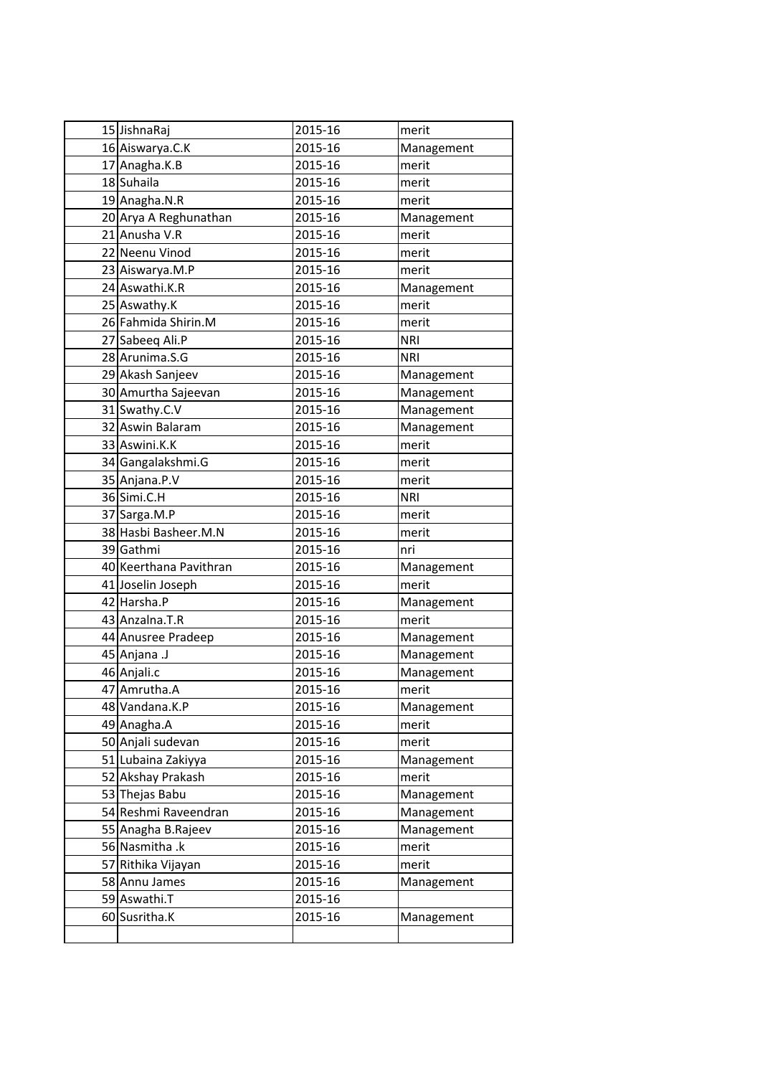| 15 JishnaRaj           | 2015-16 | merit      |
|------------------------|---------|------------|
| 16 Aiswarya.C.K        | 2015-16 | Management |
| 17 Anagha.K.B          | 2015-16 | merit      |
| 18 Suhaila             | 2015-16 | merit      |
| 19 Anagha.N.R          | 2015-16 | merit      |
| 20 Arya A Reghunathan  | 2015-16 | Management |
| 21 Anusha V.R          | 2015-16 | merit      |
| 22 Neenu Vinod         | 2015-16 | merit      |
| 23 Aiswarya.M.P        | 2015-16 | merit      |
| 24 Aswathi.K.R         | 2015-16 | Management |
| 25 Aswathy.K           | 2015-16 | merit      |
| 26 Fahmida Shirin.M    | 2015-16 | merit      |
| 27 Sabeeq Ali.P        | 2015-16 | <b>NRI</b> |
| 28 Arunima.S.G         | 2015-16 | <b>NRI</b> |
| 29 Akash Sanjeev       | 2015-16 | Management |
| 30 Amurtha Sajeevan    | 2015-16 | Management |
| 31 Swathy.C.V          | 2015-16 | Management |
| 32 Aswin Balaram       | 2015-16 | Management |
| 33 Aswini.K.K          | 2015-16 | merit      |
| 34 Gangalakshmi.G      | 2015-16 | merit      |
| 35 Anjana.P.V          | 2015-16 | merit      |
| 36 Simi.C.H            | 2015-16 | <b>NRI</b> |
| 37 Sarga.M.P           | 2015-16 | merit      |
| 38 Hasbi Basheer.M.N   | 2015-16 | merit      |
| 39 Gathmi              | 2015-16 | nri        |
| 40 Keerthana Pavithran | 2015-16 | Management |
| 41 Joselin Joseph      | 2015-16 | merit      |
| 42 Harsha.P            | 2015-16 | Management |
| 43 Anzalna.T.R         | 2015-16 | merit      |
| 44 Anusree Pradeep     | 2015-16 | Management |
| 45 Anjana .J           | 2015-16 | Management |
| 46 Anjali.c            | 2015-16 | Management |
| 47 Amrutha.A           | 2015-16 | merit      |
| 48 Vandana.K.P         | 2015-16 | Management |
| 49 Anagha.A            | 2015-16 | merit      |
| 50 Anjali sudevan      | 2015-16 | merit      |
| 51 Lubaina Zakiyya     | 2015-16 | Management |
| 52 Akshay Prakash      | 2015-16 | merit      |
| 53 Thejas Babu         | 2015-16 | Management |
| 54 Reshmi Raveendran   | 2015-16 | Management |
| 55 Anagha B.Rajeev     | 2015-16 | Management |
| 56 Nasmitha .k         | 2015-16 | merit      |
| 57 Rithika Vijayan     | 2015-16 | merit      |
| 58 Annu James          | 2015-16 | Management |
| 59 Aswathi.T           | 2015-16 |            |
| 60 Susritha.K          | 2015-16 | Management |
|                        |         |            |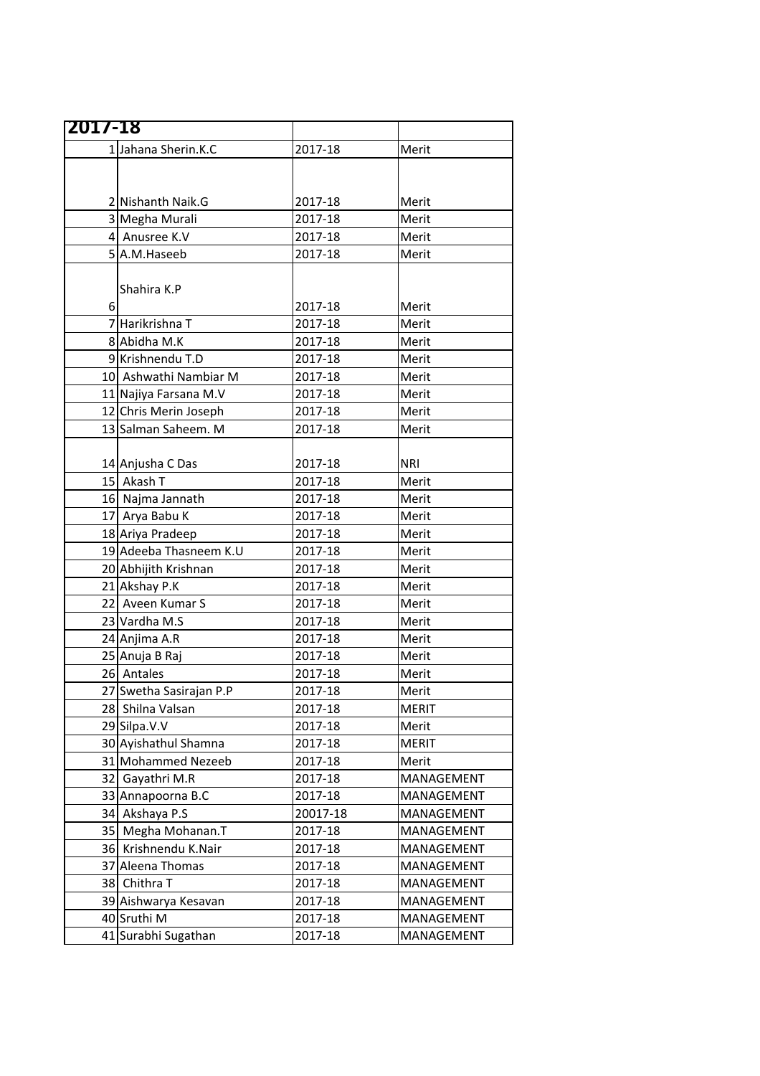| 2017-18                 |          |              |
|-------------------------|----------|--------------|
| 1 Jahana Sherin.K.C     | 2017-18  | Merit        |
|                         |          |              |
| 2 Nishanth Naik.G       | 2017-18  | Merit        |
| 3 Megha Murali          | 2017-18  | Merit        |
| 4 Anusree K.V           | 2017-18  | Merit        |
| 5 A.M. Haseeb           | 2017-18  | Merit        |
| Shahira K.P             |          |              |
| 6                       | 2017-18  | Merit        |
| 7 Harikrishna T         | 2017-18  | Merit        |
| 8 Abidha M.K            | 2017-18  | Merit        |
| 9 Krishnendu T.D        |          |              |
|                         | 2017-18  | Merit        |
| 10 Ashwathi Nambiar M   | 2017-18  | Merit        |
| 11 Najiya Farsana M.V   | 2017-18  | Merit        |
| 12 Chris Merin Joseph   | 2017-18  | Merit        |
| 13 Salman Saheem. M     | 2017-18  | Merit        |
| 14 Anjusha C Das        | 2017-18  | <b>NRI</b>   |
| 15 Akash T              | 2017-18  | Merit        |
| 16 Najma Jannath        | 2017-18  | Merit        |
| 17 Arya Babu K          | 2017-18  | Merit        |
| 18 Ariya Pradeep        | 2017-18  | Merit        |
| 19 Adeeba Thasneem K.U  | 2017-18  | Merit        |
| 20 Abhijith Krishnan    | 2017-18  | Merit        |
| 21 Akshay P.K           | 2017-18  | Merit        |
| 22 Aveen Kumar S        | 2017-18  | Merit        |
| 23 Vardha M.S           | 2017-18  | Merit        |
| 24 Anjima A.R           | 2017-18  | Merit        |
| 25 Anuja B Raj          | 2017-18  | Merit        |
| 26 Antales              | 2017-18  | Merit        |
| 27 Swetha Sasirajan P.P | 2017-18  | Merit        |
| 28 Shilna Valsan        | 2017-18  | <b>MERIT</b> |
| 29 Silpa.V.V            | 2017-18  | Merit        |
| 30 Ayishathul Shamna    | 2017-18  | <b>MERIT</b> |
| 31 Mohammed Nezeeb      | 2017-18  | Merit        |
|                         |          | MANAGEMENT   |
| 32 Gayathri M.R         | 2017-18  |              |
| 33 Annapoorna B.C       | 2017-18  | MANAGEMENT   |
| 34 Akshaya P.S          | 20017-18 | MANAGEMENT   |
| 35 Megha Mohanan.T      | 2017-18  | MANAGEMENT   |
| 36 Krishnendu K.Nair    | 2017-18  | MANAGEMENT   |
| 37 Aleena Thomas        | 2017-18  | MANAGEMENT   |
| 38 Chithra T            | 2017-18  | MANAGEMENT   |
| 39 Aishwarya Kesavan    | 2017-18  | MANAGEMENT   |
| 40 Sruthi M             | 2017-18  | MANAGEMENT   |
| 41 Surabhi Sugathan     | 2017-18  | MANAGEMENT   |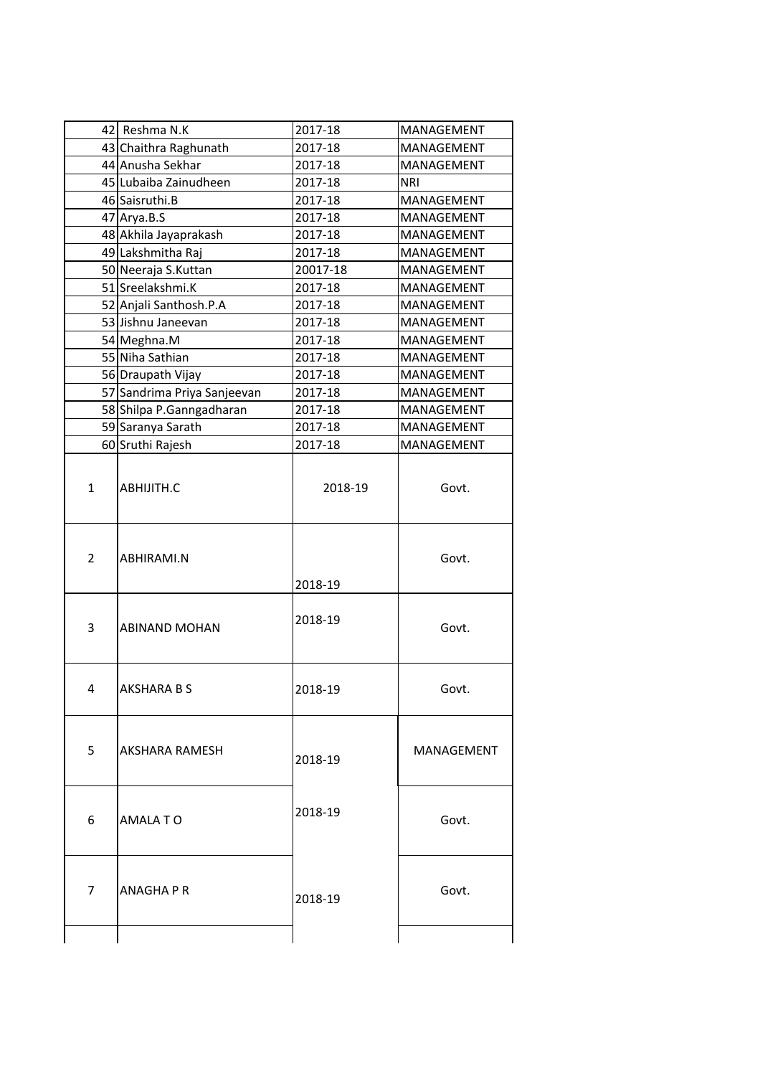|                | 42 Reshma N.K               | 2017-18  | MANAGEMENT |
|----------------|-----------------------------|----------|------------|
|                | 43 Chaithra Raghunath       | 2017-18  | MANAGEMENT |
|                | 44 Anusha Sekhar            | 2017-18  | MANAGEMENT |
|                | 45 Lubaiba Zainudheen       | 2017-18  | <b>NRI</b> |
|                | 46 Saisruthi.B              | 2017-18  | MANAGEMENT |
|                | 47 Arya.B.S                 | 2017-18  | MANAGEMENT |
|                | 48 Akhila Jayaprakash       | 2017-18  | MANAGEMENT |
|                | 49 Lakshmitha Raj           | 2017-18  | MANAGEMENT |
|                | 50 Neeraja S.Kuttan         | 20017-18 | MANAGEMENT |
|                | 51 Sreelakshmi.K            | 2017-18  | MANAGEMENT |
|                | 52 Anjali Santhosh.P.A      | 2017-18  | MANAGEMENT |
|                | 53 Jishnu Janeevan          | 2017-18  | MANAGEMENT |
|                | 54 Meghna.M                 | 2017-18  | MANAGEMENT |
|                | 55 Niha Sathian             | 2017-18  | MANAGEMENT |
|                | 56 Draupath Vijay           | 2017-18  | MANAGEMENT |
|                | 57 Sandrima Priya Sanjeevan | 2017-18  | MANAGEMENT |
|                | 58 Shilpa P.Ganngadharan    | 2017-18  | MANAGEMENT |
|                | 59 Saranya Sarath           | 2017-18  | MANAGEMENT |
|                | 60 Sruthi Rajesh            | 2017-18  | MANAGEMENT |
| $\mathbf{1}$   | ABHIJITH.C                  | 2018-19  | Govt.      |
| $\overline{2}$ | ABHIRAMI.N                  | 2018-19  | Govt.      |
| 3              | <b>ABINAND MOHAN</b>        | 2018-19  | Govt.      |
| 4              | IAKSHARA B S                | 2018-19  | Govt.      |
| 5              | <b>AKSHARA RAMESH</b>       | 2018-19  | MANAGEMENT |
| 6              | AMALA TO                    | 2018-19  | Govt.      |
| 7              | <b>ANAGHAPR</b>             | 2018-19  | Govt.      |
|                |                             |          |            |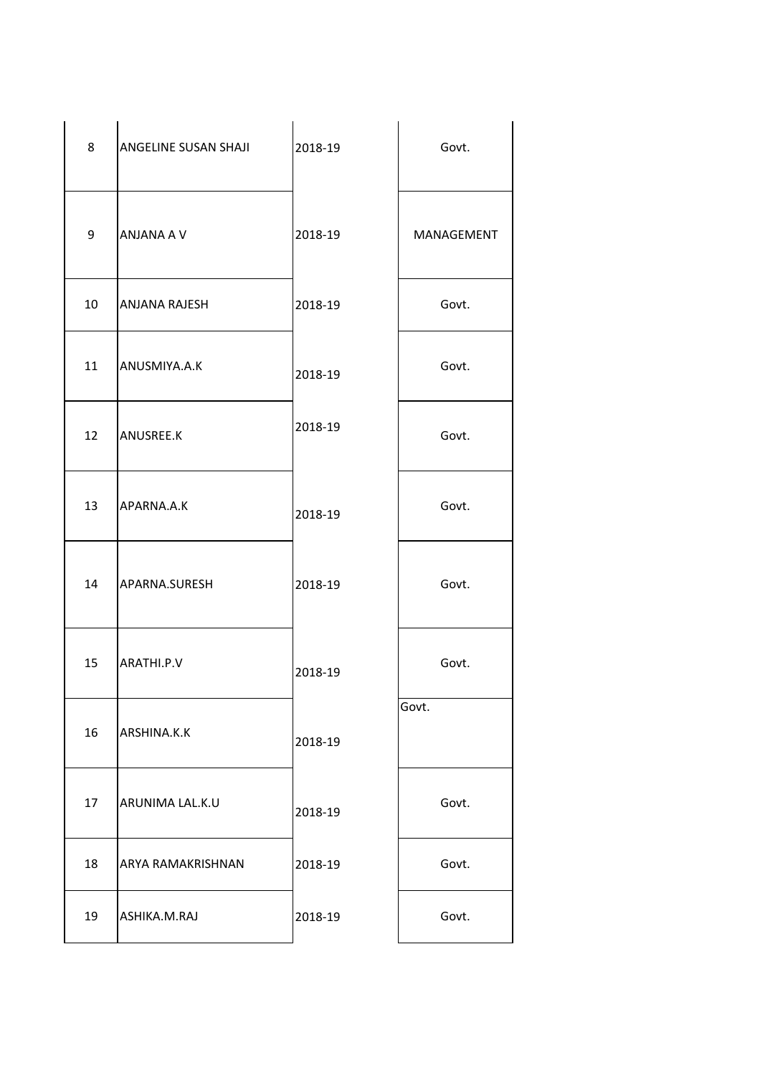| 8  | ANGELINE SUSAN SHAJI | 2018-19 | Govt.      |
|----|----------------------|---------|------------|
| 9  | <b>ANJANA A V</b>    | 2018-19 | MANAGEMENT |
| 10 | <b>ANJANA RAJESH</b> | 2018-19 | Govt.      |
| 11 | ANUSMIYA.A.K         | 2018-19 | Govt.      |
| 12 | ANUSREE.K            | 2018-19 | Govt.      |
| 13 | APARNA.A.K           | 2018-19 | Govt.      |
| 14 | APARNA.SURESH        | 2018-19 | Govt.      |
| 15 | ARATHI.P.V           | 2018-19 | Govt.      |
| 16 | ARSHINA.K.K          | 2018-19 | Govt.      |
| 17 | ARUNIMA LAL.K.U      | 2018-19 | Govt.      |
| 18 | ARYA RAMAKRISHNAN    | 2018-19 | Govt.      |
| 19 | ASHIKA.M.RAJ         | 2018-19 | Govt.      |

| MANAGEMENT |
|------------|
| Govt.      |
| Govt.      |
| Govt.      |
| Govt.      |
| Govt.      |
| Govt.      |
| iovt.      |
| Govt.      |
| Govt.      |
| Govt.      |
|            |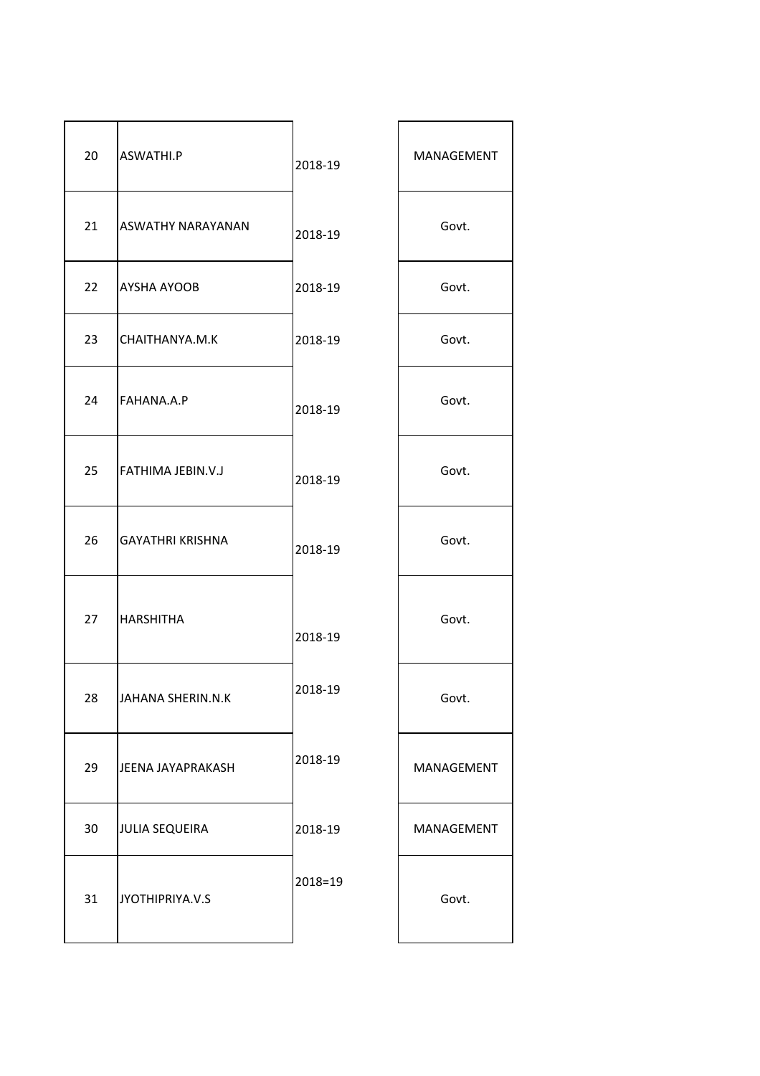| 20 | ASWATHI.P                | 2018-19 | MANAGEMENT |
|----|--------------------------|---------|------------|
| 21 | <b>ASWATHY NARAYANAN</b> | 2018-19 | Govt.      |
| 22 | AYSHA AYOOB              | 2018-19 | Govt.      |
| 23 | CHAITHANYA.M.K           | 2018-19 | Govt.      |
| 24 | FAHANA.A.P               | 2018-19 | Govt.      |
| 25 | FATHIMA JEBIN.V.J        | 2018-19 | Govt.      |
| 26 | <b>GAYATHRI KRISHNA</b>  | 2018-19 | Govt.      |
| 27 | <b>HARSHITHA</b>         | 2018-19 | Govt.      |
| 28 | JAHANA SHERIN.N.K        | 2018-19 | Govt.      |
| 29 | JEENA JAYAPRAKASH        | 2018-19 | MANAGEMENT |
| 30 | <b>JULIA SEQUEIRA</b>    | 2018-19 | MANAGEMENT |
| 31 | JYOTHIPRIYA.V.S          | 2018=19 | Govt.      |

| MANAGEMENT |  |  |
|------------|--|--|
| Govt.      |  |  |
| Govt.      |  |  |
| Govt.      |  |  |
| Govt.      |  |  |
| Govt.      |  |  |
| Govt.      |  |  |
| Govt.      |  |  |
| Govt.      |  |  |
| MANAGEMENT |  |  |
| MANAGEMENT |  |  |
| Govt.      |  |  |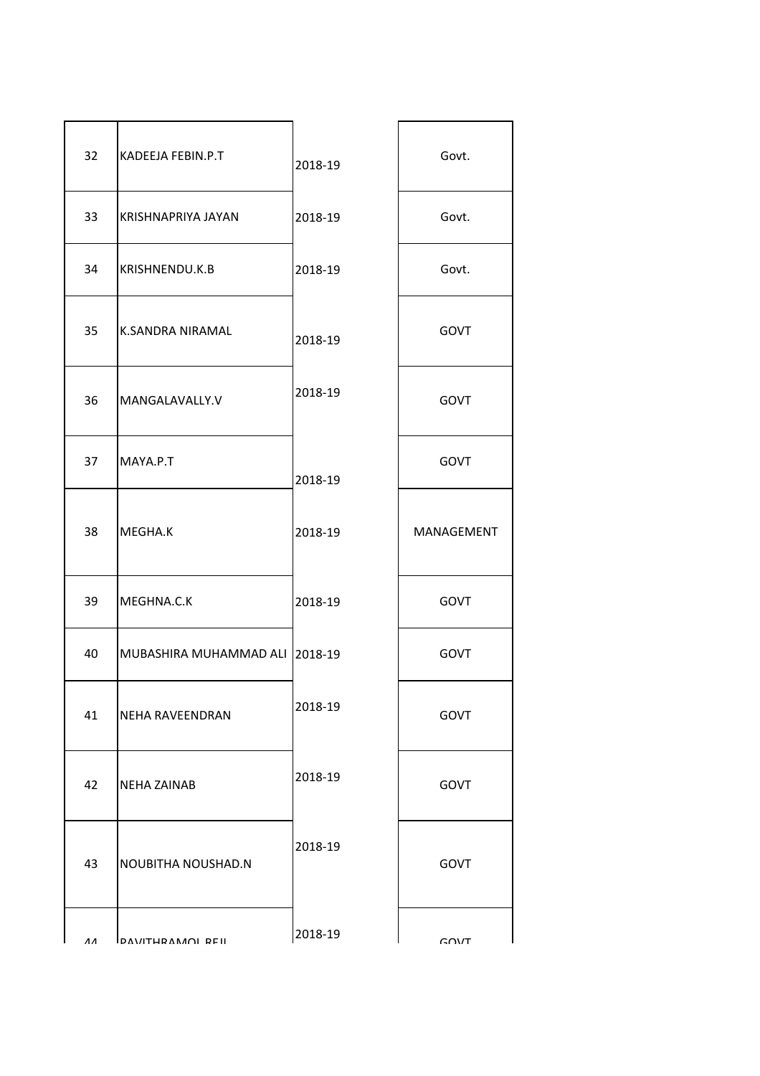| 32 | KADEEJA FEBIN.P.T              | 2018-19 | Govt.      |
|----|--------------------------------|---------|------------|
| 33 | KRISHNAPRIYA JAYAN             | 2018-19 | Govt.      |
| 34 | KRISHNENDU.K.B                 | 2018-19 | Govt.      |
| 35 | <b>K.SANDRA NIRAMAL</b>        | 2018-19 | GOVT       |
| 36 | MANGALAVALLY.V                 | 2018-19 | GOVT       |
| 37 | MAYA.P.T                       | 2018-19 | GOVT       |
| 38 | MEGHA.K                        | 2018-19 | MANAGEMENT |
| 39 | MEGHNA.C.K                     | 2018-19 | GOVT       |
| 40 | MUBASHIRA MUHAMMAD ALI 2018-19 |         | GOVT       |
| 41 | NEHA RAVEENDRAN                | 2018-19 | GOVT       |
| 42 | <b>NEHA ZAINAB</b>             | 2018-19 | GOVT       |
| 43 | NOUBITHA NOUSHAD.N             | 2018-19 | GOVT       |
| ΛΛ | DAVITHRAMOL REIL               | 2018-19 | $G$ $N/T$  |

| Govt.      |
|------------|
| Govt.      |
| Govt.      |
| GOVT       |
| GOVT       |
| GOVT       |
| MANAGEMENT |
| GOVT       |
| GOVT       |
| GOVT       |
|            |
| GOVT       |
| GOVT       |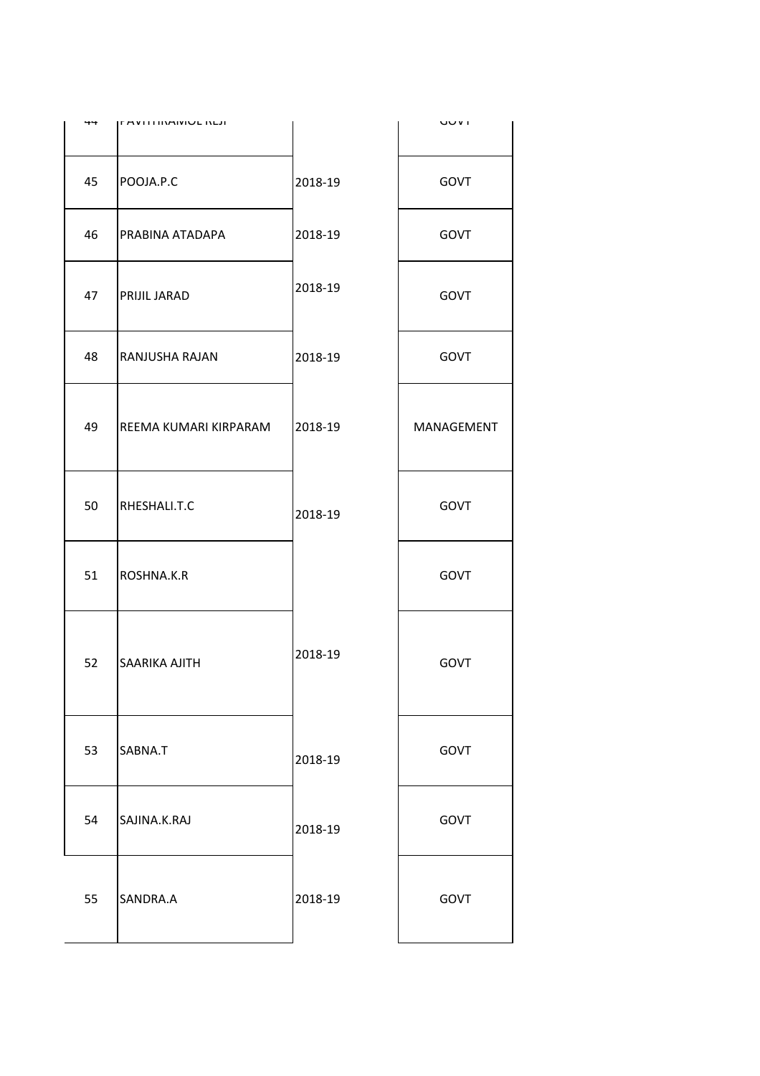| 44 | <b>FAVILLINAIVIUL INLJI</b> |         | ויטט       |
|----|-----------------------------|---------|------------|
| 45 | POOJA.P.C                   | 2018-19 | GOVT       |
| 46 | PRABINA ATADAPA             | 2018-19 | GOVT       |
| 47 | PRIJIL JARAD                | 2018-19 | GOVT       |
| 48 | RANJUSHA RAJAN              | 2018-19 | GOVT       |
| 49 | REEMA KUMARI KIRPARAM       | 2018-19 | MANAGEMENT |
| 50 | RHESHALI.T.C                | 2018-19 | GOVT       |
| 51 | ROSHNA.K.R                  |         | GOVT       |
| 52 | SAARIKA AJITH               | 2018-19 | GOVT       |
| 53 | SABNA.T                     | 2018-19 | GOVT       |
| 54 | SAJINA.K.RAJ                | 2018-19 | GOVT       |
| 55 | SANDRA.A                    | 2018-19 | GOVT       |